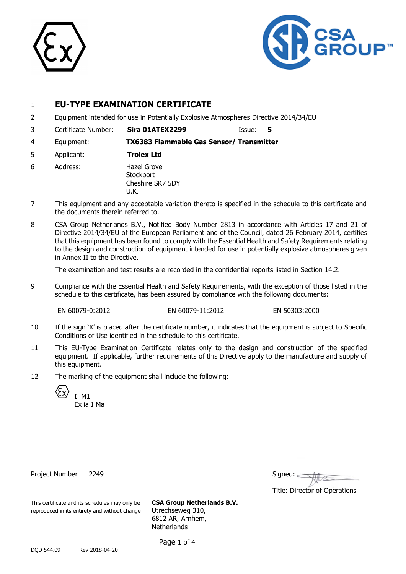



### 1 **EU-TYPE EXAMINATION CERTIFICATE**

- 2 Equipment intended for use in Potentially Explosive Atmospheres Directive 2014/34/EU
- 3 Certificate Number: **Sira 01ATEX2299** Issue: **5**

4 Equipment: **TX6383 Flammable Gas Sensor/ Transmitter**

- 5 Applicant: **Trolex Ltd**
- 6 Address: Hazel Grove **Stockport** Cheshire SK7 5DY U.K.
- 7 This equipment and any acceptable variation thereto is specified in the schedule to this certificate and the documents therein referred to.
- 8 CSA Group Netherlands B.V., Notified Body Number 2813 in accordance with Articles 17 and 21 of Directive 2014/34/EU of the European Parliament and of the Council, dated 26 February 2014, certifies that this equipment has been found to comply with the Essential Health and Safety Requirements relating to the design and construction of equipment intended for use in potentially explosive atmospheres given in Annex II to the Directive.

The examination and test results are recorded in the confidential reports listed in Section 14.2.

9 Compliance with the Essential Health and Safety Requirements, with the exception of those listed in the schedule to this certificate, has been assured by compliance with the following documents:

EN 60079-0:2012 EN 60079-11:2012 EN 50303:2000

- 10 If the sign 'X' is placed after the certificate number, it indicates that the equipment is subject to Specific Conditions of Use identified in the schedule to this certificate.
- 11 This EU-Type Examination Certificate relates only to the design and construction of the specified equipment. If applicable, further requirements of this Directive apply to the manufacture and supply of this equipment.
- 12 The marking of the equipment shall include the following:

I M1 Ex ia I Ma

Project Number 2249

| Signed: |  |  |
|---------|--|--|
|         |  |  |

Title: Director of Operations

This certificate and its schedules may only be **CSA Group Netherlands B.V.** reproduced in its entirety and without change Utrechseweg 310,

6812 AR, Arnhem, **Netherlands** 

Page 1 of 4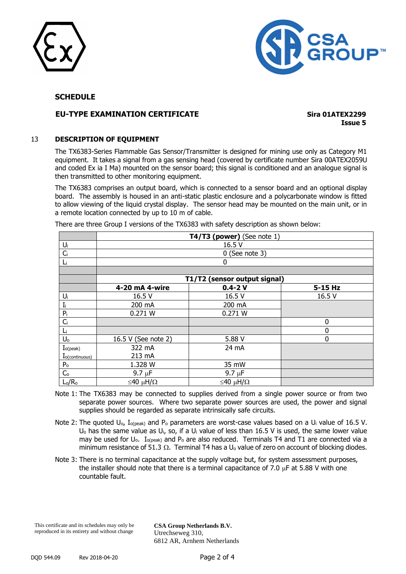



#### **SCHEDULE**

#### **EU-TYPE EXAMINATION CERTIFICATE Sira 01ATEX2299**

**Issue 5**

#### 13 **DESCRIPTION OF EQUIPMENT**

The TX6383-Series Flammable Gas Sensor/Transmitter is designed for mining use only as Category M1 equipment. It takes a signal from a gas sensing head (covered by certificate number Sira 00ATEX2059U and coded Ex ia I Ma) mounted on the sensor board; this signal is conditioned and an analogue signal is then transmitted to other monitoring equipment.

The TX6383 comprises an output board, which is connected to a sensor board and an optional display board. The assembly is housed in an anti-static plastic enclosure and a polycarbonate window is fitted to allow viewing of the liquid crystal display. The sensor head may be mounted on the main unit, or in a remote location connected by up to 10 m of cable.

|                            | T4/T3 (power) (See note $1$ ) |                              |             |  |  |
|----------------------------|-------------------------------|------------------------------|-------------|--|--|
| $U_i$                      | 16.5 V                        |                              |             |  |  |
| $C_i$                      |                               | $0$ (See note 3)             |             |  |  |
| Li                         | 0                             |                              |             |  |  |
|                            |                               |                              |             |  |  |
|                            |                               | T1/T2 (sensor output signal) |             |  |  |
|                            | 4-20 mA 4-wire                | $0.4 - 2V$                   | 5-15 Hz     |  |  |
| $U_i$                      | 16.5 V                        | 16.5 V                       | 16.5 V      |  |  |
| $I_i$                      | 200 mA                        | 200 mA                       |             |  |  |
| $P_i$                      | 0.271 W                       | 0.271 W                      |             |  |  |
| $C_i$                      |                               |                              | $\mathbf 0$ |  |  |
| Li                         |                               |                              | 0           |  |  |
| $U_0$                      | 16.5 V (See note 2)           | 5.88 V                       | $\mathbf 0$ |  |  |
| $I_{o(\mathrm{peak})}$     | 322 mA                        | 24 mA                        |             |  |  |
| $I_{o(\text{continuous})}$ | 213 mA                        |                              |             |  |  |
| P <sub>o</sub>             | 1.328 W                       | 35 mW                        |             |  |  |
| $C_{o}$                    | $9.7 \mu F$                   | 9.7 $\mu$ F                  |             |  |  |
| $L_0/R_0$                  | ≤40 μH/Ω                      | ≤40 μH/Ω                     |             |  |  |

There are three Group I versions of the TX6383 with safety description as shown below:

- Note 1: The TX6383 may be connected to supplies derived from a single power source or from two separate power sources. Where two separate power sources are used, the power and signal supplies should be regarded as separate intrinsically safe circuits.
- Note 2: The quoted  $U_0$ ,  $I_0$ <sub>(peak)</sub> and P<sub>o</sub> parameters are worst-case values based on a  $U_i$  value of 16.5 V.  $U_0$  has the same value as  $U_i$ , so, if a  $U_i$  value of less than 16.5 V is used, the same lower value may be used for U<sub>o</sub>. I<sub>o(peak)</sub> and P<sub>o</sub> are also reduced. Terminals T4 and T1 are connected via a minimum resistance of 51.3  $\Omega$ . Terminal T4 has a U<sub>o</sub> value of zero on account of blocking diodes.
- Note 3: There is no terminal capacitance at the supply voltage but, for system assessment purposes, the installer should note that there is a terminal capacitance of 7.0  $\mu$ F at 5.88 V with one countable fault.

This certificate and its schedules may only be reproduced in its entirety and without change

**CSA Group Netherlands B.V.** Utrechseweg 310, 6812 AR, Arnhem Netherlands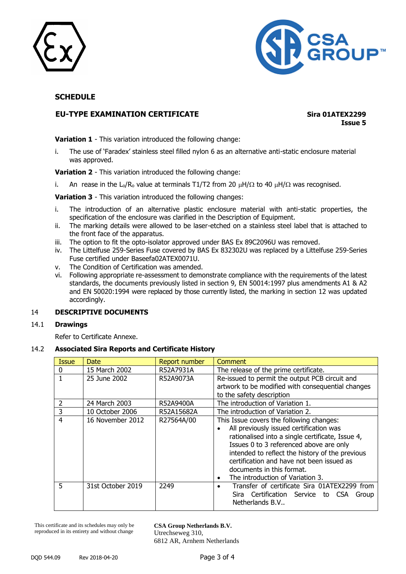



#### **SCHEDULE**

#### **EU-TYPE EXAMINATION CERTIFICATE Sira 01ATEX2299**

**Issue 5**

**Variation 1** - This variation introduced the following change:

i. The use of 'Faradex' stainless steel filled nylon 6 as an alternative anti-static enclosure material was approved.

**Variation 2** - This variation introduced the following change:

i. An rease in the L<sub>o</sub>/R<sub>o</sub> value at terminals T1/T2 from 20  $\mu$ H/ $\Omega$  to 40  $\mu$ H/ $\Omega$  was recognised.

**Variation 3** - This variation introduced the following changes:

- i. The introduction of an alternative plastic enclosure material with anti-static properties, the specification of the enclosure was clarified in the Description of Equipment.
- ii. The marking details were allowed to be laser-etched on a stainless steel label that is attached to the front face of the apparatus.
- iii. The option to fit the opto-isolator approved under BAS Ex 89C2096U was removed.
- iv. The Littelfuse 259-Series Fuse covered by BAS Ex 832302U was replaced by a Littelfuse 259-Series Fuse certified under Baseefa02ATEX0071U.
- v. The Condition of Certification was amended.
- vi. Following appropriate re-assessment to demonstrate compliance with the requirements of the latest standards, the documents previously listed in section 9, EN 50014:1997 plus amendments A1 & A2 and EN 50020:1994 were replaced by those currently listed, the marking in section 12 was updated accordingly.

#### 14 **DESCRIPTIVE DOCUMENTS**

#### 14.1 **Drawings**

Refer to Certificate Annexe.

#### 14.2 **Associated Sira Reports and Certificate History**

| <b>Issue</b>   | Date              | Report number | Comment                                           |
|----------------|-------------------|---------------|---------------------------------------------------|
| $\Omega$       | 15 March 2002     | R52A7931A     | The release of the prime certificate.             |
| 1              | 25 June 2002      | R52A9073A     | Re-issued to permit the output PCB circuit and    |
|                |                   |               | artwork to be modified with consequential changes |
|                |                   |               | to the safety description                         |
| 2              | 24 March 2003     | R52A9400A     | The introduction of Variation 1.                  |
| 3              | 10 October 2006   | R52A15682A    | The introduction of Variation 2.                  |
| $\overline{4}$ | 16 November 2012  | R27564A/00    | This Issue covers the following changes:          |
|                |                   |               | All previously issued certification was           |
|                |                   |               | rationalised into a single certificate, Issue 4,  |
|                |                   |               | Issues 0 to 3 referenced above are only           |
|                |                   |               | intended to reflect the history of the previous   |
|                |                   |               | certification and have not been issued as         |
|                |                   |               | documents in this format.                         |
|                |                   |               | The introduction of Variation 3.<br>٠             |
| 5              | 31st October 2019 | 2249          | Transfer of certificate Sira 01ATEX2299 from      |
|                |                   |               | Sira Certification Service to CSA<br>Group        |
|                |                   |               | Netherlands B.V                                   |

This certificate and its schedules may only be reproduced in its entirety and without change

**CSA Group Netherlands B.V.** Utrechseweg 310, 6812 AR, Arnhem Netherlands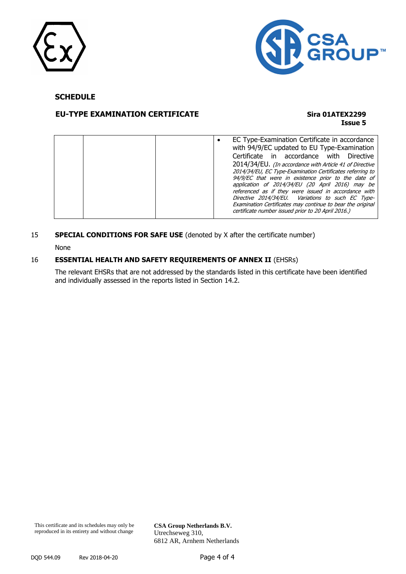



#### **SCHEDULE**

#### **EU-TYPE EXAMINATION CERTIFICATE Sira 01ATEX2299**

## **Issue 5**

|  | EC Type-Examination Certificate in accordance<br>with 94/9/EC updated to EU Type-Examination<br>Certificate in accordance with Directive<br>2014/34/EU. (In accordance with Article 41 of Directive<br>2014/34/EU, EC Type-Examination Certificates referring to<br>94/9/EC that were in existence prior to the date of |
|--|-------------------------------------------------------------------------------------------------------------------------------------------------------------------------------------------------------------------------------------------------------------------------------------------------------------------------|
|  | application of 2014/34/EU (20 April 2016) may be<br>referenced as if they were issued in accordance with<br>Directive 2014/34/EU. Variations to such EC Type-                                                                                                                                                           |
|  | Examination Certificates may continue to bear the original<br>certificate number issued prior to 20 April 2016.)                                                                                                                                                                                                        |

# 15 **SPECIAL CONDITIONS FOR SAFE USE** (denoted by X after the certificate number)

None

#### 16 **ESSENTIAL HEALTH AND SAFETY REQUIREMENTS OF ANNEX II** (EHSRs)

The relevant EHSRs that are not addressed by the standards listed in this certificate have been identified and individually assessed in the reports listed in Section 14.2.

**CSA Group Netherlands B.V.** Utrechseweg 310, 6812 AR, Arnhem Netherlands